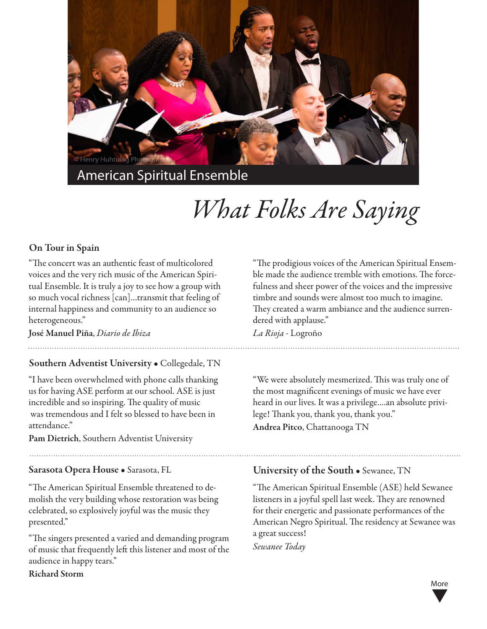

American Spiritual Ensemble

# *What Folks Are Saying*

### On Tour in Spain

"The concert was an authentic feast of multicolored voices and the very rich music of the American Spiritual Ensemble. It is truly a joy to see how a group with so much vocal richness [can]…transmit that feeling of internal happiness and community to an audience so heterogeneous."

José Manuel Piña, *Diario de Ibiza*

#### Southern Adventist University • Collegedale, TN

"I have been overwhelmed with phone calls thanking us for having ASE perform at our school. ASE is just incredible and so inspiring. The quality of music was tremendous and I felt so blessed to have been in attendance."

Pam Dietrich, Southern Adventist University

#### Sarasota Opera House • Sarasota, FL

"The American Spiritual Ensemble threatened to demolish the very building whose restoration was being celebrated, so explosively joyful was the music they presented."

"The singers presented a varied and demanding program of music that frequently left this listener and most of the audience in happy tears."

Richard Storm

"The prodigious voices of the American Spiritual Ensemble made the audience tremble with emotions. The forcefulness and sheer power of the voices and the impressive timbre and sounds were almost too much to imagine. They created a warm ambiance and the audience surrendered with applause."

*La Rioja* - Logroño

"We were absolutely mesmerized. This was truly one of the most magnificent evenings of music we have ever heard in our lives. It was a privilege….an absolute privilege! Thank you, thank you, thank you." Andrea Pitco, Chattanooga TN

#### University of the South • Sewanee, TN

"The American Spiritual Ensemble (ASE) held Sewanee listeners in a joyful spell last week. They are renowned for their energetic and passionate performances of the American Negro Spiritual. The residency at Sewanee was a great success! *Sewanee Today*

> ▼ More